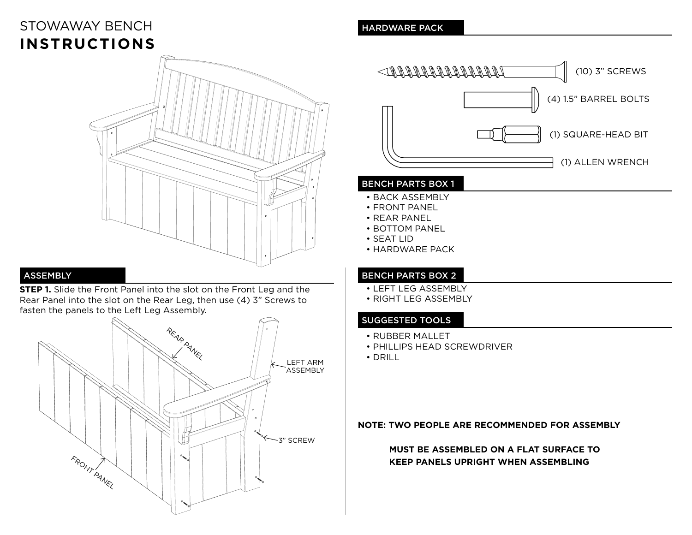# STOWAWAY BENCH **INSTRUCTIONS**



# ASSEMBLY

**STEP 1.** Slide the Front Panel into the slot on the Front Leg and the Rear Panel into the slot on the Rear Leg, then use (4) 3" Screws to fasten the panels to the Left Leg Assembly.



### HARDWARE PACK



#### BENCH PARTS BOX 1

- BACK ASSEMBLY
- FRONT PANEL
- REAR PANEL
- BOTTOM PANEL
- SEAT LID
- HARDWARE PACK

#### BENCH PARTS BOX 2

- LEFT LEG ASSEMBLY
- RIGHT LEG ASSEMBLY

#### SUGGESTED TOOLS

- RUBBER MALLET
- PHILLIPS HEAD SCREWDRIVER
- DRILL

#### **NOTE: TWO PEOPLE ARE RECOMMENDED FOR ASSEMBLY**

## **MUST BE ASSEMBLED ON A FLAT SURFACE TO KEEP PANELS UPRIGHT WHEN ASSEMBLING**